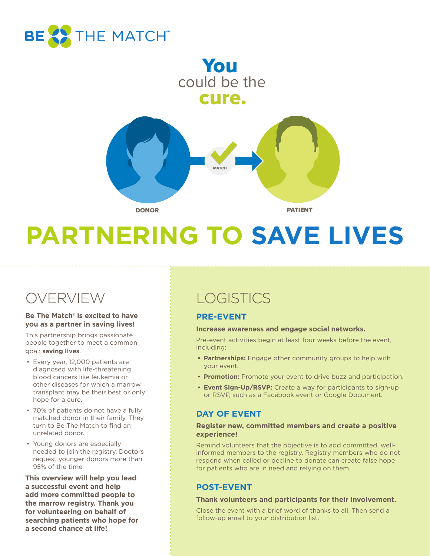

### cure. could be the You



# **PARTNERING TO SAVE LIVES**

### OVERVIEW

#### **Be The Match® is excited to have you as a partner in saving lives!**

This partnership brings passionate people together to meet a common goal: **saving lives**.

- Every year, 12,000 patients are diagnosed with life-threatening blood cancers like leukemia or other diseases for which a marrow transplant may be their best or only hope for a cure.
- 70% of patients do not have a fully matched donor in their family. They turn to Be The Match to find an unrelated donor.
- Young donors are especially needed to join the registry. Doctors request younger donors more than 95% of the time.

**This overview will help you lead a successful event and help add more committed people to the marrow registry. Thank you for volunteering on behalf of searching patients who hope for a second chance at life!**

## **LOGISTICS**

### **PRE-EVENT**

### **Increase awareness and engage social networks.**

Pre-event activities begin at least four weeks before the event, including:

- **• Partnerships:** Engage other community groups to help with your event.
- **• Promotion:** Promote your event to drive buzz and participation.
- **• Event Sign-Up/RSVP:** Create a way for participants to sign-up or RSVP, such as a Facebook event or Google Document.

### **DAY OF EVENT**

### **Register new, committed members and create a positive experience!**

Remind volunteers that the objective is to add committed, wellinformed members to the registry. Registry members who do not respond when called or decline to donate can create false hope for patients who are in need and relying on them.

### **POST-EVENT**

### **Thank volunteers and participants for their involvement.**

Close the event with a brief word of thanks to all. Then send a follow-up email to your distribution list.